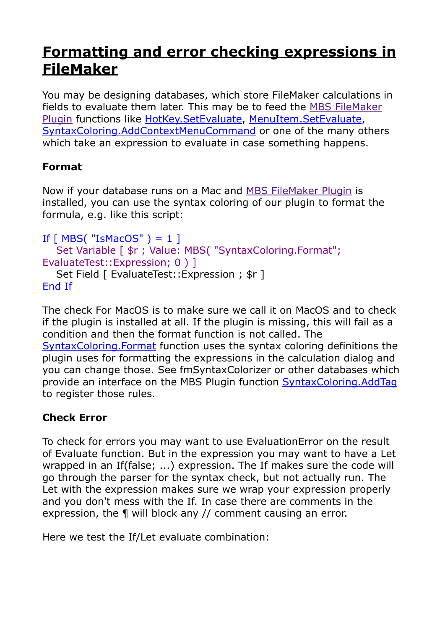## **[Formatting and error checking expressions in](https://www.mbs-plugins.com/archive/2019-12-06/Formatting_and_error_checking_/monkeybreadsoftware_blog_filemaker)  [FileMaker](https://www.mbs-plugins.com/archive/2019-12-06/Formatting_and_error_checking_/monkeybreadsoftware_blog_filemaker)**

You may be designing databases, which store FileMaker calculations in fields to evaluate them later. This may be to feed the [MBS FileMaker](https://www.monkeybreadsoftware.com/filemaker/)  [Plugin](https://www.monkeybreadsoftware.com/filemaker/) functions like [HotKey.SetEvaluate,](https://www.mbsplugins.eu/HotKeySetEvaluate.shtml) [MenuItem.SetEvaluate](https://www.mbsplugins.eu/MenuItemSetEvaluate.shtml), [SyntaxColoring.AddContextMenuCommand](https://www.mbsplugins.eu/SyntaxColoringAddContextMenuCommand.shtml) or one of the many others which take an expression to evaluate in case something happens.

## **Format**

Now if your database runs on a Mac and [MBS FileMaker Plugin](https://www.monkeybreadsoftware.com/filemaker/) is installed, you can use the syntax coloring of our plugin to format the formula, e.g. like this script:

```
If [MBS("ISMacOS") = 1]Set Variable [ \frac{1}{2}r ; Value: MBS( "SyntaxColoring.Format";
EvaluateTest::Expression; 0) 1
   Set Field [ EvaluateTest:: Expression ; $r ]
End If
```
The check For MacOS is to make sure we call it on MacOS and to check if the plugin is installed at all. If the plugin is missing, this will fail as a condition and then the format function is not called. The [SyntaxColoring.Format](https://www.mbsplugins.eu/SyntaxColoringFormat.shtml) function uses the syntax coloring definitions the plugin uses for formatting the expressions in the calculation dialog and you can change those. See fmSyntaxColorizer or other databases which provide an interface on the MBS Plugin function [SyntaxColoring.AddTag](https://www.mbsplugins.eu/SyntaxColoringAddTag.shtml) to register those rules.

## **Check Error**

To check for errors you may want to use EvaluationError on the result of Evaluate function. But in the expression you may want to have a Let wrapped in an If(false; ...) expression. The If makes sure the code will go through the parser for the syntax check, but not actually run. The Let with the expression makes sure we wrap your expression properly and you don't mess with the If. In case there are comments in the expression, the ¶ will block any // comment causing an error.

Here we test the If/Let evaluate combination: